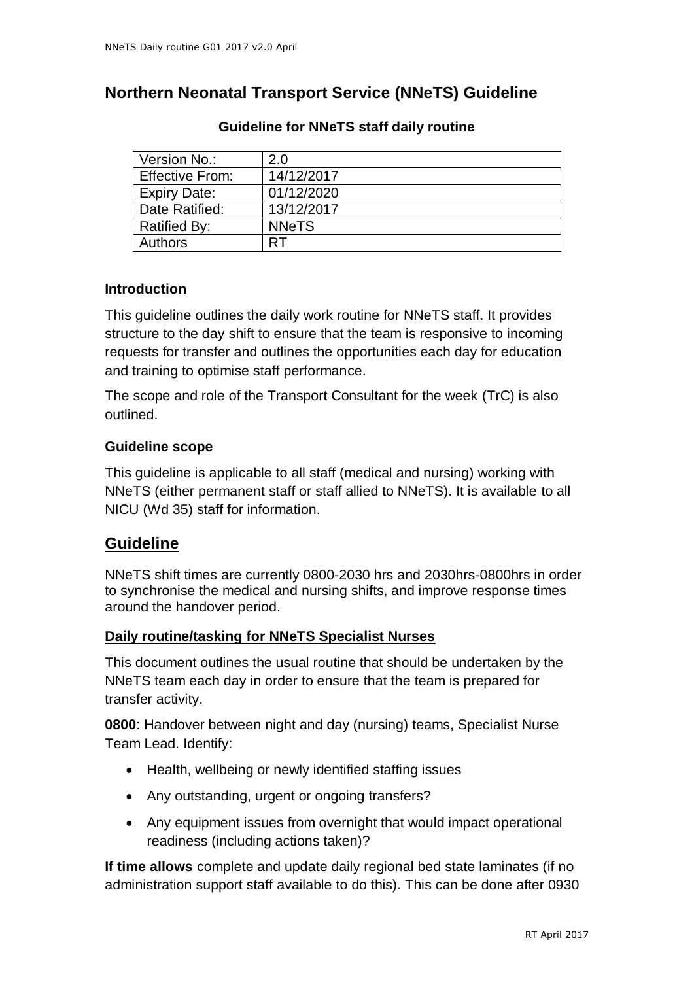# **Northern Neonatal Transport Service (NNeTS) Guideline**

| Version No.:           | 2.0          |
|------------------------|--------------|
| <b>Effective From:</b> | 14/12/2017   |
| <b>Expiry Date:</b>    | 01/12/2020   |
| Date Ratified:         | 13/12/2017   |
| <b>Ratified By:</b>    | <b>NNeTS</b> |
| <b>Authors</b>         |              |

## **Guideline for NNeTS staff daily routine**

### **Introduction**

This guideline outlines the daily work routine for NNeTS staff. It provides structure to the day shift to ensure that the team is responsive to incoming requests for transfer and outlines the opportunities each day for education and training to optimise staff performance.

The scope and role of the Transport Consultant for the week (TrC) is also outlined.

### **Guideline scope**

This guideline is applicable to all staff (medical and nursing) working with NNeTS (either permanent staff or staff allied to NNeTS). It is available to all NICU (Wd 35) staff for information.

## **Guideline**

NNeTS shift times are currently 0800-2030 hrs and 2030hrs-0800hrs in order to synchronise the medical and nursing shifts, and improve response times around the handover period.

#### **Daily routine/tasking for NNeTS Specialist Nurses**

This document outlines the usual routine that should be undertaken by the NNeTS team each day in order to ensure that the team is prepared for transfer activity.

**0800**: Handover between night and day (nursing) teams, Specialist Nurse Team Lead. Identify:

- Health, wellbeing or newly identified staffing issues
- Any outstanding, urgent or ongoing transfers?
- Any equipment issues from overnight that would impact operational readiness (including actions taken)?

**If time allows** complete and update daily regional bed state laminates (if no administration support staff available to do this). This can be done after 0930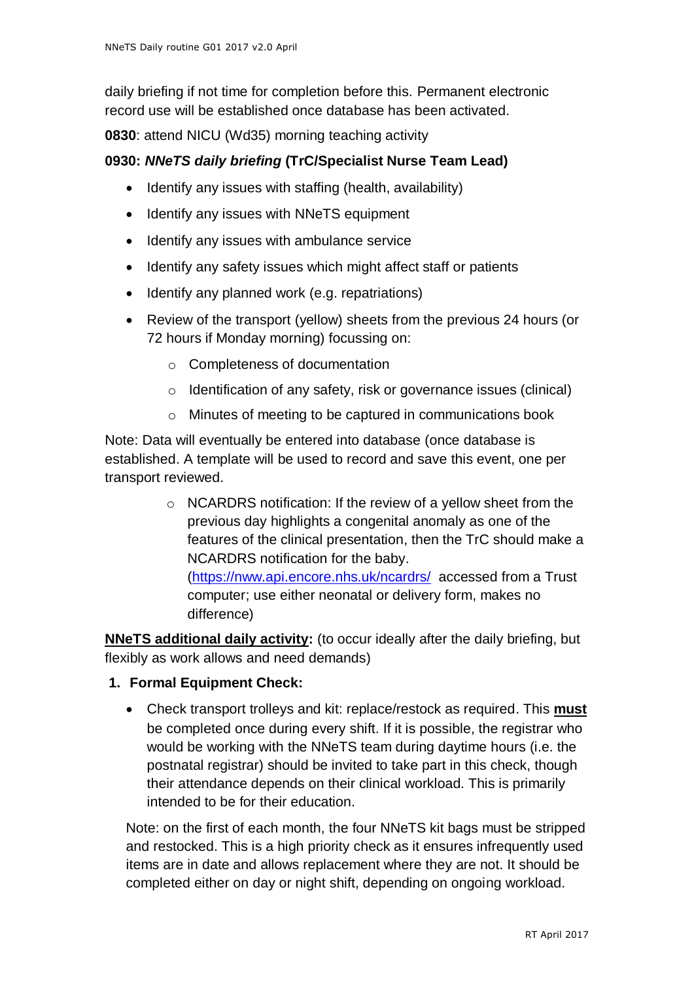daily briefing if not time for completion before this. Permanent electronic record use will be established once database has been activated.

**0830**: attend NICU (Wd35) morning teaching activity

## **0930:** *NNeTS daily briefing* **(TrC/Specialist Nurse Team Lead)**

- Identify any issues with staffing (health, availability)
- Identify any issues with NNeTS equipment
- Identify any issues with ambulance service
- Identify any safety issues which might affect staff or patients
- Identify any planned work (e.g. repatriations)
- Review of the transport (yellow) sheets from the previous 24 hours (or 72 hours if Monday morning) focussing on:
	- o Completeness of documentation
	- o Identification of any safety, risk or governance issues (clinical)
	- o Minutes of meeting to be captured in communications book

Note: Data will eventually be entered into database (once database is established. A template will be used to record and save this event, one per transport reviewed.

> o NCARDRS notification: If the review of a yellow sheet from the previous day highlights a congenital anomaly as one of the features of the clinical presentation, then the TrC should make a NCARDRS notification for the baby.

[\(https://nww.api.encore.nhs.uk/ncardrs/](https://nww.api.encore.nhs.uk/ncardrs/) accessed from a Trust computer; use either neonatal or delivery form, makes no difference)

**NNeTS additional daily activity:** (to occur ideally after the daily briefing, but flexibly as work allows and need demands)

- **1. Formal Equipment Check:**
	- Check transport trolleys and kit: replace/restock as required. This **must** be completed once during every shift. If it is possible, the registrar who would be working with the NNeTS team during daytime hours (i.e. the postnatal registrar) should be invited to take part in this check, though their attendance depends on their clinical workload. This is primarily intended to be for their education.

Note: on the first of each month, the four NNeTS kit bags must be stripped and restocked. This is a high priority check as it ensures infrequently used items are in date and allows replacement where they are not. It should be completed either on day or night shift, depending on ongoing workload.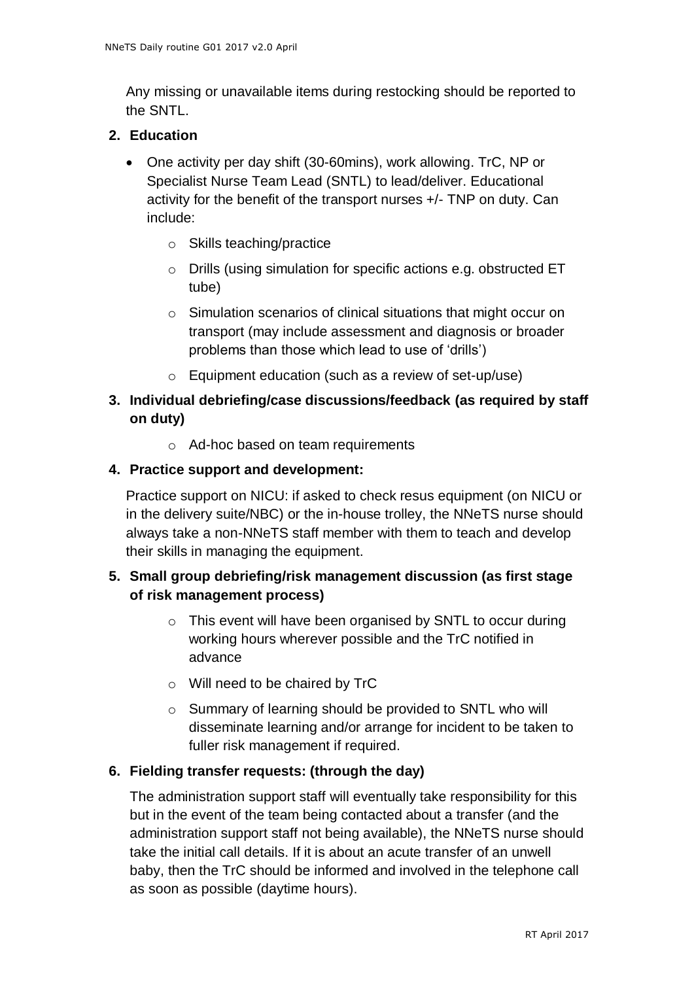Any missing or unavailable items during restocking should be reported to the SNTL.

### **2. Education**

- One activity per day shift (30-60mins), work allowing. TrC, NP or Specialist Nurse Team Lead (SNTL) to lead/deliver. Educational activity for the benefit of the transport nurses +/- TNP on duty. Can include:
	- o Skills teaching/practice
	- o Drills (using simulation for specific actions e.g. obstructed ET tube)
	- o Simulation scenarios of clinical situations that might occur on transport (may include assessment and diagnosis or broader problems than those which lead to use of 'drills')
	- o Equipment education (such as a review of set-up/use)

## **3. Individual debriefing/case discussions/feedback (as required by staff on duty)**

o Ad-hoc based on team requirements

### **4. Practice support and development:**

Practice support on NICU: if asked to check resus equipment (on NICU or in the delivery suite/NBC) or the in-house trolley, the NNeTS nurse should always take a non-NNeTS staff member with them to teach and develop their skills in managing the equipment.

## **5. Small group debriefing/risk management discussion (as first stage of risk management process)**

- o This event will have been organised by SNTL to occur during working hours wherever possible and the TrC notified in advance
- o Will need to be chaired by TrC
- o Summary of learning should be provided to SNTL who will disseminate learning and/or arrange for incident to be taken to fuller risk management if required.

#### **6. Fielding transfer requests: (through the day)**

The administration support staff will eventually take responsibility for this but in the event of the team being contacted about a transfer (and the administration support staff not being available), the NNeTS nurse should take the initial call details. If it is about an acute transfer of an unwell baby, then the TrC should be informed and involved in the telephone call as soon as possible (daytime hours).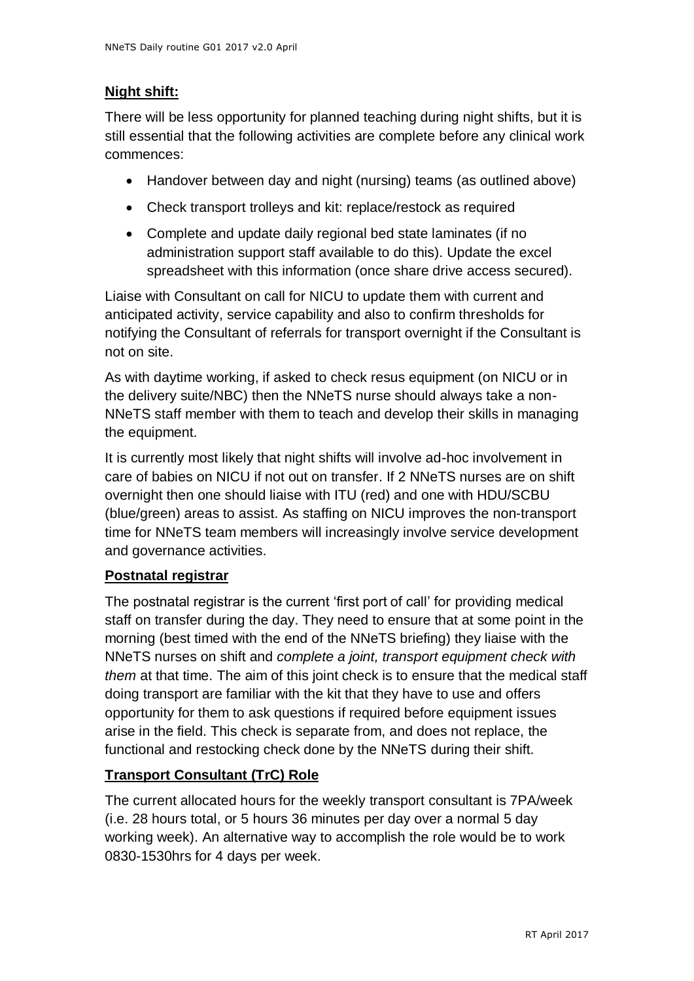# **Night shift:**

There will be less opportunity for planned teaching during night shifts, but it is still essential that the following activities are complete before any clinical work commences:

- Handover between day and night (nursing) teams (as outlined above)
- Check transport trolleys and kit: replace/restock as required
- Complete and update daily regional bed state laminates (if no administration support staff available to do this). Update the excel spreadsheet with this information (once share drive access secured).

Liaise with Consultant on call for NICU to update them with current and anticipated activity, service capability and also to confirm thresholds for notifying the Consultant of referrals for transport overnight if the Consultant is not on site.

As with daytime working, if asked to check resus equipment (on NICU or in the delivery suite/NBC) then the NNeTS nurse should always take a non-NNeTS staff member with them to teach and develop their skills in managing the equipment.

It is currently most likely that night shifts will involve ad-hoc involvement in care of babies on NICU if not out on transfer. If 2 NNeTS nurses are on shift overnight then one should liaise with ITU (red) and one with HDU/SCBU (blue/green) areas to assist. As staffing on NICU improves the non-transport time for NNeTS team members will increasingly involve service development and governance activities.

# **Postnatal registrar**

The postnatal registrar is the current 'first port of call' for providing medical staff on transfer during the day. They need to ensure that at some point in the morning (best timed with the end of the NNeTS briefing) they liaise with the NNeTS nurses on shift and *complete a joint, transport equipment check with them* at that time. The aim of this joint check is to ensure that the medical staff doing transport are familiar with the kit that they have to use and offers opportunity for them to ask questions if required before equipment issues arise in the field. This check is separate from, and does not replace, the functional and restocking check done by the NNeTS during their shift.

# **Transport Consultant (TrC) Role**

The current allocated hours for the weekly transport consultant is 7PA/week (i.e. 28 hours total, or 5 hours 36 minutes per day over a normal 5 day working week). An alternative way to accomplish the role would be to work 0830-1530hrs for 4 days per week.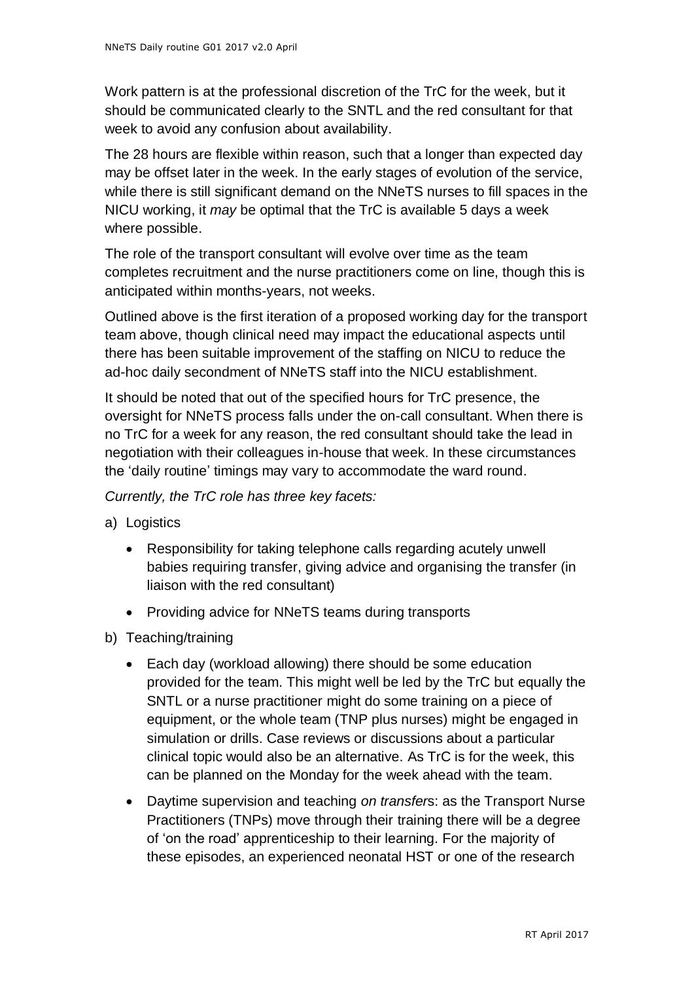Work pattern is at the professional discretion of the TrC for the week, but it should be communicated clearly to the SNTL and the red consultant for that week to avoid any confusion about availability.

The 28 hours are flexible within reason, such that a longer than expected day may be offset later in the week. In the early stages of evolution of the service, while there is still significant demand on the NNeTS nurses to fill spaces in the NICU working, it *may* be optimal that the TrC is available 5 days a week where possible.

The role of the transport consultant will evolve over time as the team completes recruitment and the nurse practitioners come on line, though this is anticipated within months-years, not weeks.

Outlined above is the first iteration of a proposed working day for the transport team above, though clinical need may impact the educational aspects until there has been suitable improvement of the staffing on NICU to reduce the ad-hoc daily secondment of NNeTS staff into the NICU establishment.

It should be noted that out of the specified hours for TrC presence, the oversight for NNeTS process falls under the on-call consultant. When there is no TrC for a week for any reason, the red consultant should take the lead in negotiation with their colleagues in-house that week. In these circumstances the 'daily routine' timings may vary to accommodate the ward round.

*Currently, the TrC role has three key facets:*

- a) Logistics
	- Responsibility for taking telephone calls regarding acutely unwell babies requiring transfer, giving advice and organising the transfer (in liaison with the red consultant)
	- Providing advice for NNeTS teams during transports
- b) Teaching/training
	- Each day (workload allowing) there should be some education provided for the team. This might well be led by the TrC but equally the SNTL or a nurse practitioner might do some training on a piece of equipment, or the whole team (TNP plus nurses) might be engaged in simulation or drills. Case reviews or discussions about a particular clinical topic would also be an alternative. As TrC is for the week, this can be planned on the Monday for the week ahead with the team.
	- Daytime supervision and teaching *on transfer*s: as the Transport Nurse Practitioners (TNPs) move through their training there will be a degree of 'on the road' apprenticeship to their learning. For the majority of these episodes, an experienced neonatal HST or one of the research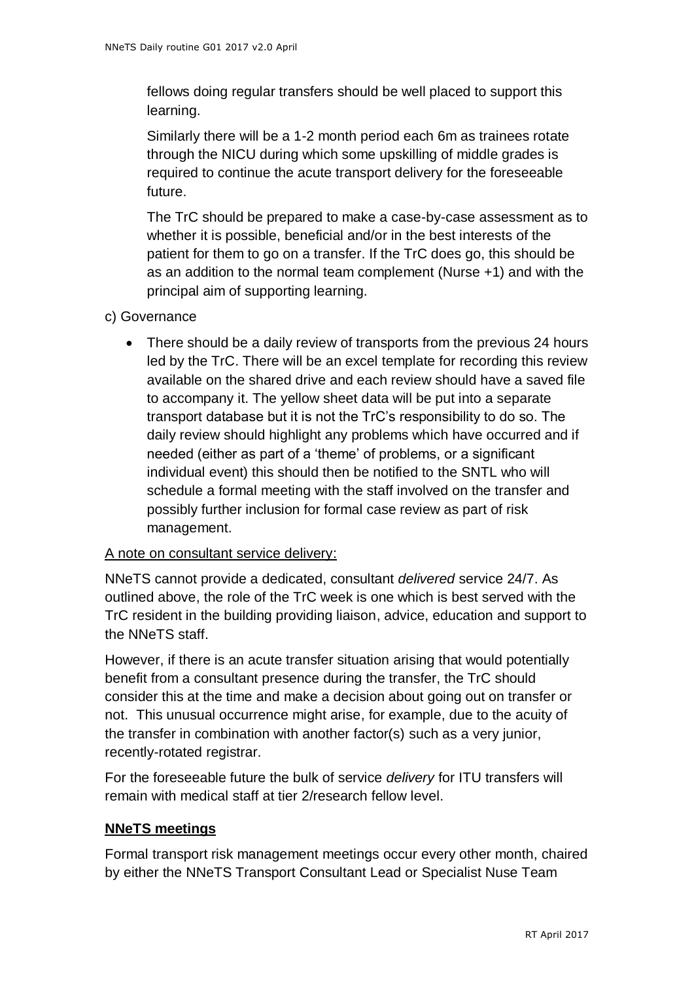fellows doing regular transfers should be well placed to support this learning.

Similarly there will be a 1-2 month period each 6m as trainees rotate through the NICU during which some upskilling of middle grades is required to continue the acute transport delivery for the foreseeable future.

The TrC should be prepared to make a case-by-case assessment as to whether it is possible, beneficial and/or in the best interests of the patient for them to go on a transfer. If the TrC does go, this should be as an addition to the normal team complement (Nurse +1) and with the principal aim of supporting learning.

- c) Governance
	- There should be a daily review of transports from the previous 24 hours led by the TrC. There will be an excel template for recording this review available on the shared drive and each review should have a saved file to accompany it. The yellow sheet data will be put into a separate transport database but it is not the TrC's responsibility to do so. The daily review should highlight any problems which have occurred and if needed (either as part of a 'theme' of problems, or a significant individual event) this should then be notified to the SNTL who will schedule a formal meeting with the staff involved on the transfer and possibly further inclusion for formal case review as part of risk management.

#### A note on consultant service delivery:

NNeTS cannot provide a dedicated, consultant *delivered* service 24/7. As outlined above, the role of the TrC week is one which is best served with the TrC resident in the building providing liaison, advice, education and support to the NNeTS staff.

However, if there is an acute transfer situation arising that would potentially benefit from a consultant presence during the transfer, the TrC should consider this at the time and make a decision about going out on transfer or not. This unusual occurrence might arise, for example, due to the acuity of the transfer in combination with another factor(s) such as a very junior, recently-rotated registrar.

For the foreseeable future the bulk of service *delivery* for ITU transfers will remain with medical staff at tier 2/research fellow level.

#### **NNeTS meetings**

Formal transport risk management meetings occur every other month, chaired by either the NNeTS Transport Consultant Lead or Specialist Nuse Team